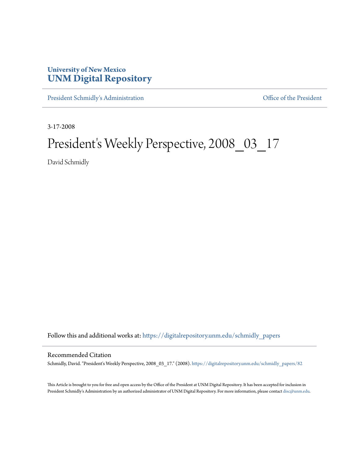## **University of New Mexico [UNM Digital Repository](https://digitalrepository.unm.edu?utm_source=digitalrepository.unm.edu%2Fschmidly_papers%2F82&utm_medium=PDF&utm_campaign=PDFCoverPages)**

[President Schmidly's Administration](https://digitalrepository.unm.edu/schmidly_papers?utm_source=digitalrepository.unm.edu%2Fschmidly_papers%2F82&utm_medium=PDF&utm_campaign=PDFCoverPages) [Office of the President](https://digitalrepository.unm.edu/ofc_president?utm_source=digitalrepository.unm.edu%2Fschmidly_papers%2F82&utm_medium=PDF&utm_campaign=PDFCoverPages)

3-17-2008

## President's Weekly Perspective, 2008\_03\_17

David Schmidly

Follow this and additional works at: [https://digitalrepository.unm.edu/schmidly\\_papers](https://digitalrepository.unm.edu/schmidly_papers?utm_source=digitalrepository.unm.edu%2Fschmidly_papers%2F82&utm_medium=PDF&utm_campaign=PDFCoverPages)

## Recommended Citation

Schmidly, David. "President's Weekly Perspective, 2008\_03\_17." (2008). [https://digitalrepository.unm.edu/schmidly\\_papers/82](https://digitalrepository.unm.edu/schmidly_papers/82?utm_source=digitalrepository.unm.edu%2Fschmidly_papers%2F82&utm_medium=PDF&utm_campaign=PDFCoverPages)

This Article is brought to you for free and open access by the Office of the President at UNM Digital Repository. It has been accepted for inclusion in President Schmidly's Administration by an authorized administrator of UNM Digital Repository. For more information, please contact [disc@unm.edu](mailto:disc@unm.edu).